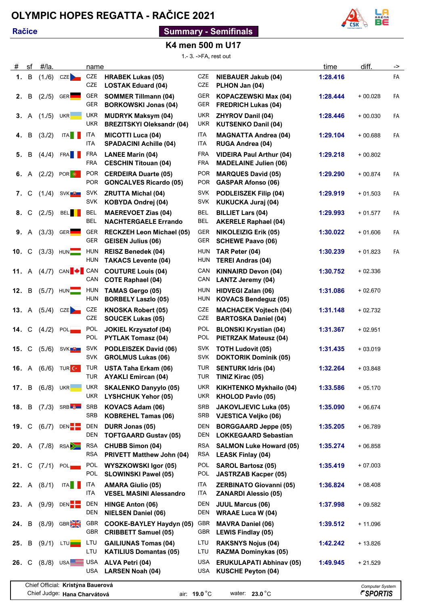## **OLYMPIC HOPES REGATTA - RAČICE 2021**

#### **Račice**

### **Summary - Semifinals**



#### **K4 men 500 m U17**

1.- 3. ->FA, rest out

| #                                                                                                            | sf | #/la.        |                                       | name                     |                                                               |                          |                                                                 | time     | diff.                                            | -> |
|--------------------------------------------------------------------------------------------------------------|----|--------------|---------------------------------------|--------------------------|---------------------------------------------------------------|--------------------------|-----------------------------------------------------------------|----------|--------------------------------------------------|----|
| 1.                                                                                                           | B  |              | $(1./6)$ CZE                          | CZE<br><b>CZE</b>        | <b>HRABEK Lukas (05)</b><br><b>LOSTAK Eduard (04)</b>         | <b>CZE</b><br><b>CZE</b> | <b>NIEBAUER Jakub (04)</b><br>PLHON Jan (04)                    | 1:28.416 |                                                  | FA |
| 2.                                                                                                           | в  | (2.75)       | <b>GER</b>                            | <b>GER</b><br><b>GER</b> | <b>SOMMER Tillmann (04)</b><br><b>BORKOWSKI Jonas (04)</b>    | <b>GER</b><br>GER        | <b>KOPACZEWSKI Max (04)</b><br><b>FREDRICH Lukas (04)</b>       | 1:28.444 | $+00.028$                                        | FA |
| 3.                                                                                                           | A  | (1.75)       | UKR                                   | <b>UKR</b><br><b>UKR</b> | <b>MUDRYK Maksym (04)</b><br><b>BREZITSKYI Oleksandr (04)</b> | <b>UKR</b><br>UKR        | <b>ZHYROV Danil (04)</b><br><b>KUTSENKO Danil (04)</b>          | 1:28.446 | + 00.030                                         | FA |
| 4.                                                                                                           | B  | (3.72)       | <b>ITA</b>                            | ITA<br>ITA.              | <b>MICOTTI Luca (04)</b><br><b>SPADACINI Achille (04)</b>     | <b>ITA</b><br><b>ITA</b> | <b>MAGNATTA Andrea (04)</b><br><b>RUGA Andrea (04)</b>          | 1:29.104 | $+00.688$                                        | FA |
| 5.                                                                                                           | В  | (4.4)        | <b>FRA</b>                            | <b>FRA</b><br><b>FRA</b> | <b>LANEE Marin (04)</b><br><b>CESCHIN Titouan (04)</b>        | <b>FRA</b><br><b>FRA</b> | <b>VIDEIRA Paul Arthur (04)</b><br><b>MADELAINE Julien (06)</b> | 1:29.218 | $+00.802$                                        |    |
| 6.                                                                                                           | A  | (2.72)       | POR <sup>O</sup>                      | <b>POR</b><br><b>POR</b> | <b>CERDEIRA Duarte (05)</b><br><b>GONCALVES Ricardo (05)</b>  | <b>POR</b><br><b>POR</b> | <b>MARQUES David (05)</b><br><b>GASPAR Afonso (06)</b>          | 1:29.290 | + 00.874                                         | FA |
| 7.                                                                                                           | C  | (1.4)        | SVK <del>U</del>                      | SVK<br><b>SVK</b>        | <b>ZRUTTA Michal (04)</b><br>KOBYDA Ondrej (04)               | <b>SVK</b><br><b>SVK</b> | <b>PODLEISZEK Filip (04)</b><br><b>KUKUCKA Juraj (04)</b>       | 1:29.919 | $+01.503$                                        | FA |
| 8.                                                                                                           | C  | (2.75)       | <b>BEL</b>                            | <b>BEL</b><br>BEL        | <b>MAEREVOET Zias (04)</b><br><b>NACHTERGAELE Errando</b>     | <b>BEL</b><br><b>BEL</b> | <b>BILLIET Lars (04)</b><br><b>AKERELE Raphael (04)</b>         | 1:29.993 | $+01.577$                                        | FA |
| 9.                                                                                                           | A  | $(3.73)$ GER |                                       | <b>GER</b><br><b>GER</b> | <b>RECKZEH Leon Michael (05)</b><br><b>GEISEN Julius (06)</b> | GER<br>GER               | <b>NIKOLEIZIG Erik (05)</b><br><b>SCHEWE Paavo (06)</b>         | 1:30.022 | $+01.606$                                        | FA |
| 10.                                                                                                          | C  |              | $(3.73)$ HUN                          | <b>HUN</b><br><b>HUN</b> | <b>REISZ Benedek (04)</b><br><b>TAKACS Levente (04)</b>       | <b>HUN</b><br><b>HUN</b> | TAR Peter (04)<br><b>TEREI Andras (04)</b>                      | 1:30.239 | $+01.823$                                        | FA |
| <b>11.</b> A                                                                                                 |    |              | $(4.7)$ CAN $\blacktriangleright$ CAN | CAN                      | <b>COUTURE Louis (04)</b><br><b>COTE Raphael (04)</b>         | CAN<br>CAN               | <b>KINNAIRD Devon (04)</b><br><b>LANTZ Jeremy (04)</b>          | 1:30.752 | $+02.336$                                        |    |
| 12.                                                                                                          | B  |              | $(5.7)$ HUN                           | <b>HUN</b><br><b>HUN</b> | <b>TAMAS Gergo (05)</b><br><b>BORBELY Laszlo (05)</b>         | <b>HUN</b><br><b>HUN</b> | <b>HIDVEGI Zalan (06)</b><br><b>KOVACS Bendeguz (05)</b>        | 1:31.086 | $+02.670$                                        |    |
| <b>13.</b> A                                                                                                 |    |              | $(5.4)$ CZE                           | <b>CZE</b><br><b>CZE</b> | <b>KNOSKA Robert (05)</b><br><b>SOUCEK Lukas (05)</b>         | <b>CZE</b><br><b>CZE</b> | <b>MACHACEK Vojtech (04)</b><br><b>BARTOSKA Daniel (04)</b>     | 1:31.148 | $+02.732$                                        |    |
| 14.                                                                                                          | C  | (4.72)       | <b>POL</b>                            | <b>POL</b><br><b>POL</b> | <b>JOKIEL Krzysztof (04)</b><br><b>PYTLAK Tomasz (04)</b>     | POL<br><b>POL</b>        | <b>BLONSKI Krystian (04)</b><br><b>PIETRZAK Mateusz (04)</b>    | 1:31.367 | $+02.951$                                        |    |
| 15.                                                                                                          | C  | (5./6)       | SVK U                                 | <b>SVK</b><br><b>SVK</b> | <b>PODLEISZEK David (06)</b><br><b>GROLMUS Lukas (06)</b>     | <b>SVK</b><br><b>SVK</b> | <b>TOTH Ludovit (05)</b><br><b>DOKTORIK Dominik (05)</b>        | 1:31.435 | $+03.019$                                        |    |
| <b>16.</b> A                                                                                                 |    |              | $(6.6)$ TURC                          | <b>TUR</b><br><b>TUR</b> | <b>USTA Taha Erkam (06)</b><br><b>AYAKLI Emircan (04)</b>     | <b>TUR</b><br>TUR        | <b>SENTURK Idris (04)</b><br>TINIZ Kirac (05)                   | 1:32.264 | $+03.848$                                        |    |
| 17. B                                                                                                        |    |              | $(6.8)$ UKR                           | UKR<br>UKR               | <b>SKALENKO Danyylo (05)</b><br><b>LYSHCHUK Yehor (05)</b>    | UKR<br>UKR               | <b>KIKHTENKO Mykhailo (04)</b><br><b>KHOLOD Pavlo (05)</b>      | 1:33.586 | $+05.170$                                        |    |
| 18.                                                                                                          | B  |              | $(7.73)$ SRB $\frac{20}{3}$           | <b>SRB</b><br><b>SRB</b> | <b>KOVACS Adam (06)</b><br><b>KOBREHEL Tamas (06)</b>         | <b>SRB</b><br><b>SRB</b> | <b>JAKOVLJEVIC Luka (05)</b><br><b>VJESTICA Veljko (06)</b>     | 1:35.090 | $+06.674$                                        |    |
| 19. C                                                                                                        |    | (6.7)        | DEN <sub>E</sub>                      | DEN<br>DEN               | DURR Jonas (05)<br><b>TOFTGAARD Gustav (05)</b>               | DEN<br>DEN               | <b>BORGGAARD Jeppe (05)</b><br><b>LOKKEGAARD Sebastian</b>      | 1:35.205 | $+06.789$                                        |    |
| 20. A                                                                                                        |    | (7. / 8)     | RSA                                   | RSA<br><b>RSA</b>        | <b>CHUBB Simon (04)</b><br><b>PRIVETT Matthew John (04)</b>   | RSA<br><b>RSA</b>        | <b>SALMON Luke Howard (05)</b><br><b>LEASK Finlay (04)</b>      | 1:35.274 | $+06.858$                                        |    |
| 21. C                                                                                                        |    |              | $(7.7)$ POL $\blacksquare$            | <b>POL</b><br>POL        | <b>WYSZKOWSKI Igor (05)</b><br><b>SLOWINSKI Pawel (05)</b>    | POL<br>POL               | <b>SAROL Bartosz (05)</b><br><b>JASTRZAB Kacper (05)</b>        | 1:35.419 | $+07.003$                                        |    |
| <b>22.</b> A                                                                                                 |    | (8.71)       | ITA                                   | ITA<br>ITA.              | <b>AMARA Giulio (05)</b><br><b>VESEL MASINI Alessandro</b>    | ITA<br>ITA               | <b>ZERBINATO Giovanni (05)</b><br><b>ZANARDI Alessio (05)</b>   | 1:36.824 | $+08.408$                                        |    |
| <b>23.</b> A                                                                                                 |    | (9./9)       | DEN <sup>-</sup>                      | DEN<br>DEN               | HINGE Anton (06)<br><b>NIELSEN Daniel (06)</b>                | <b>DEN</b><br>DEN        | <b>JUUL Marcus (06)</b><br><b>WRAAE Luca W (04)</b>             | 1:37.998 | $+09.582$                                        |    |
| 24.                                                                                                          | B  |              | $(8.9)$ GBR $\frac{12.6}{10}$         | <b>GBR</b><br><b>GBR</b> | COOKE-BAYLEY Haydyn (05)<br><b>CRIBBETT Samuel (05)</b>       | GBR<br>GBR               | <b>MAVRA Daniel (06)</b><br><b>LEWIS Findlay (05)</b>           | 1:39.512 | + 11.096                                         |    |
| 25.                                                                                                          | B  | (9.71)       | LTU <b>L</b>                          | LTU<br>LTU               | <b>GAILIUNAS Tomas (04)</b><br><b>KATILIUS Domantas (05)</b>  | LTU<br>LTU               | <b>RAKSNYS Nojus (04)</b><br><b>RAZMA Dominykas (05)</b>        | 1:42.242 | $+13.826$                                        |    |
| 26.                                                                                                          | C  |              | $(8.8)$ USA USA                       | <b>USA</b>               | ALVA Petri (04)<br><b>LARSEN Noah (04)</b>                    | <b>USA</b><br>USA        | <b>ERUKULAPATI Abhinav (05)</b><br><b>KUSCHE Peyton (04)</b>    | 1:49.945 | $+21.529$                                        |    |
| Chief Official: Kristýna Bauerová<br>air: 19.0 °C<br>water: $23.0^{\circ}$ C<br>Chief Judge: Hana Charvátová |    |              |                                       |                          |                                                               |                          |                                                                 |          | Computer System<br><i><b><i>E</i></b>SPORTIS</i> |    |